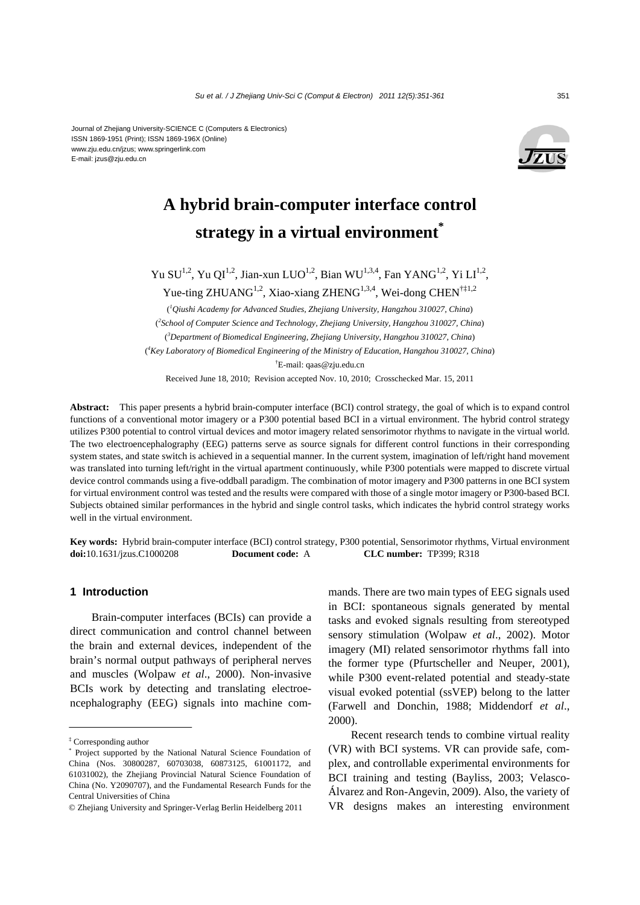#### Journal of Zhejiang University-SCIENCE C (Computers & Electronics) ISSN 1869-1951 (Print); ISSN 1869-196X (Online) www.zju.edu.cn/jzus; www.springerlink.com E-mail: jzus@zju.edu.cn



# **A hybrid brain-computer interface control strategy in a virtual environment\***

Yu SU<sup>1,2</sup>, Yu QI<sup>1,2</sup>, Jian-xun LUO<sup>1,2</sup>, Bian WU<sup>1,3,4</sup>, Fan YANG<sup>1,2</sup>, Yi LI<sup>1,2</sup>, Yue-ting ZHUANG<sup>1,2</sup>, Xiao-xiang ZHENG<sup>1,3,4</sup>, Wei-dong CHEN<sup>†‡1,2</sup>

( *1 Qiushi Academy for Advanced Studies, Zhejiang University, Hangzhou 310027, China*) ( *2 School of Computer Science and Technology, Zhejiang University, Hangzhou 310027, China*) ( *3 Department of Biomedical Engineering, Zhejiang University, Hangzhou 310027, China*) ( *4 Key Laboratory of Biomedical Engineering of the Ministry of Education, Hangzhou 310027, China*) † E-mail: qaas@zju.edu.cn

Received June 18, 2010; Revision accepted Nov. 10, 2010; Crosschecked Mar. 15, 2011

**Abstract:** This paper presents a hybrid brain-computer interface (BCI) control strategy, the goal of which is to expand control functions of a conventional motor imagery or a P300 potential based BCI in a virtual environment. The hybrid control strategy utilizes P300 potential to control virtual devices and motor imagery related sensorimotor rhythms to navigate in the virtual world. The two electroencephalography (EEG) patterns serve as source signals for different control functions in their corresponding system states, and state switch is achieved in a sequential manner. In the current system, imagination of left/right hand movement was translated into turning left/right in the virtual apartment continuously, while P300 potentials were mapped to discrete virtual device control commands using a five-oddball paradigm. The combination of motor imagery and P300 patterns in one BCI system for virtual environment control was tested and the results were compared with those of a single motor imagery or P300-based BCI. Subjects obtained similar performances in the hybrid and single control tasks, which indicates the hybrid control strategy works well in the virtual environment.

**Key words:** Hybrid brain-computer interface (BCI) control strategy, P300 potential, Sensorimotor rhythms, Virtual environment **doi:**10.1631/jzus.C1000208 **Document code:** A **CLC number:** TP399; R318

# **1 Introduction**

Brain-computer interfaces (BCIs) can provide a direct communication and control channel between the brain and external devices, independent of the brain's normal output pathways of peripheral nerves and muscles (Wolpaw *et al*., 2000). Non-invasive BCIs work by detecting and translating electroencephalography (EEG) signals into machine commands. There are two main types of EEG signals used in BCI: spontaneous signals generated by mental tasks and evoked signals resulting from stereotyped sensory stimulation (Wolpaw *et al*., 2002). Motor imagery (MI) related sensorimotor rhythms fall into the former type (Pfurtscheller and Neuper, 2001), while P300 event-related potential and steady-state visual evoked potential (ssVEP) belong to the latter (Farwell and Donchin, 1988; Middendorf *et al*., 2000).

Recent research tends to combine virtual reality (VR) with BCI systems. VR can provide safe, complex, and controllable experimental environments for BCI training and testing (Bayliss, 2003; Velasco-Álvarez and Ron-Angevin, 2009). Also, the variety of VR designs makes an interesting environment

<sup>‡</sup> Corresponding author

<sup>\*</sup> Project supported by the National Natural Science Foundation of China (Nos. 30800287, 60703038, 60873125, 61001172, and 61031002), the Zhejiang Provincial Natural Science Foundation of China (No. Y2090707), and the Fundamental Research Funds for the Central Universities of China

<sup>©</sup> Zhejiang University and Springer-Verlag Berlin Heidelberg 2011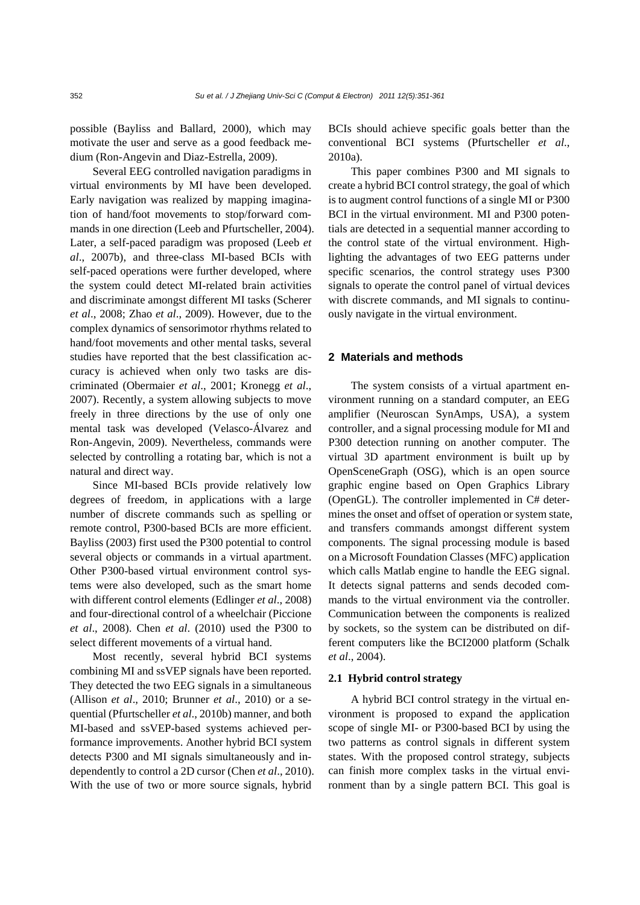possible (Bayliss and Ballard, 2000), which may motivate the user and serve as a good feedback medium (Ron-Angevin and Diaz-Estrella, 2009).

Several EEG controlled navigation paradigms in virtual environments by MI have been developed. Early navigation was realized by mapping imagination of hand/foot movements to stop/forward commands in one direction (Leeb and Pfurtscheller, 2004). Later, a self-paced paradigm was proposed (Leeb *et al*., 2007b), and three-class MI-based BCIs with self-paced operations were further developed, where the system could detect MI-related brain activities and discriminate amongst different MI tasks (Scherer *et al*., 2008; Zhao *et al*., 2009). However, due to the complex dynamics of sensorimotor rhythms related to hand/foot movements and other mental tasks, several studies have reported that the best classification accuracy is achieved when only two tasks are discriminated (Obermaier *et al*., 2001; Kronegg *et al*., 2007). Recently, a system allowing subjects to move freely in three directions by the use of only one mental task was developed (Velasco-Álvarez and Ron-Angevin, 2009). Nevertheless, commands were selected by controlling a rotating bar, which is not a natural and direct way.

Since MI-based BCIs provide relatively low degrees of freedom, in applications with a large number of discrete commands such as spelling or remote control, P300-based BCIs are more efficient. Bayliss (2003) first used the P300 potential to control several objects or commands in a virtual apartment. Other P300-based virtual environment control systems were also developed, such as the smart home with different control elements (Edlinger *et al*., 2008) and four-directional control of a wheelchair (Piccione *et al*., 2008). Chen *et al*. (2010) used the P300 to select different movements of a virtual hand.

Most recently, several hybrid BCI systems combining MI and ssVEP signals have been reported. They detected the two EEG signals in a simultaneous (Allison *et al*., 2010; Brunner *et al*., 2010) or a sequential (Pfurtscheller *et al*., 2010b) manner, and both MI-based and ssVEP-based systems achieved performance improvements. Another hybrid BCI system detects P300 and MI signals simultaneously and independently to control a 2D cursor (Chen *et al*., 2010). With the use of two or more source signals, hybrid

BCIs should achieve specific goals better than the conventional BCI systems (Pfurtscheller *et al*., 2010a).

This paper combines P300 and MI signals to create a hybrid BCI control strategy, the goal of which is to augment control functions of a single MI or P300 BCI in the virtual environment. MI and P300 potentials are detected in a sequential manner according to the control state of the virtual environment. Highlighting the advantages of two EEG patterns under specific scenarios, the control strategy uses P300 signals to operate the control panel of virtual devices with discrete commands, and MI signals to continuously navigate in the virtual environment.

# **2 Materials and methods**

The system consists of a virtual apartment environment running on a standard computer, an EEG amplifier (Neuroscan SynAmps, USA), a system controller, and a signal processing module for MI and P300 detection running on another computer. The virtual 3D apartment environment is built up by OpenSceneGraph (OSG), which is an open source graphic engine based on Open Graphics Library (OpenGL). The controller implemented in C# determines the onset and offset of operation or system state, and transfers commands amongst different system components. The signal processing module is based on a Microsoft Foundation Classes (MFC) application which calls Matlab engine to handle the EEG signal. It detects signal patterns and sends decoded commands to the virtual environment via the controller. Communication between the components is realized by sockets, so the system can be distributed on different computers like the BCI2000 platform (Schalk *et al*., 2004).

# **2.1 Hybrid control strategy**

A hybrid BCI control strategy in the virtual environment is proposed to expand the application scope of single MI- or P300-based BCI by using the two patterns as control signals in different system states. With the proposed control strategy, subjects can finish more complex tasks in the virtual environment than by a single pattern BCI. This goal is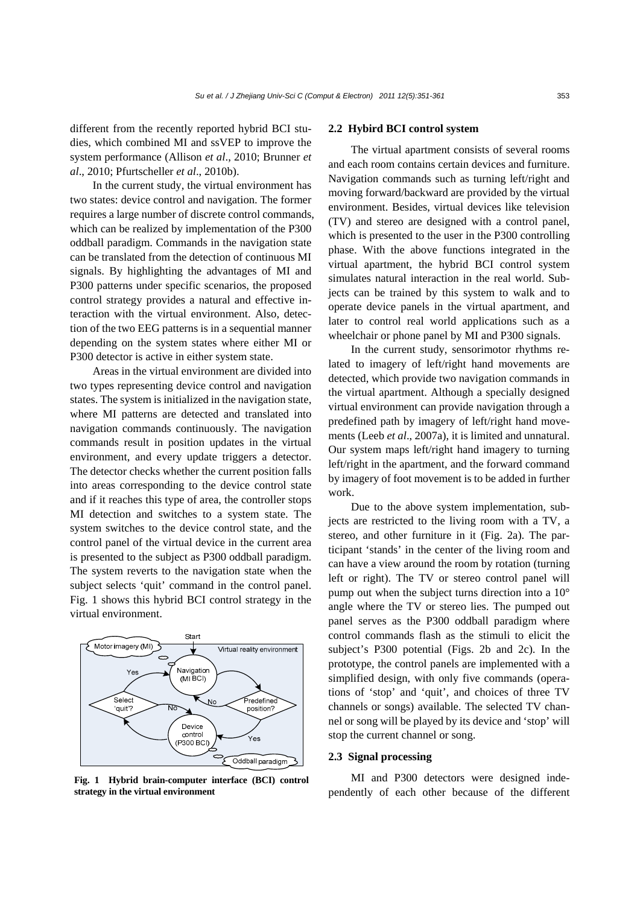different from the recently reported hybrid BCI studies, which combined MI and ssVEP to improve the system performance (Allison *et al*., 2010; Brunner *et al*., 2010; Pfurtscheller *et al*., 2010b).

In the current study, the virtual environment has two states: device control and navigation. The former requires a large number of discrete control commands, which can be realized by implementation of the P300 oddball paradigm. Commands in the navigation state can be translated from the detection of continuous MI signals. By highlighting the advantages of MI and P300 patterns under specific scenarios, the proposed control strategy provides a natural and effective interaction with the virtual environment. Also, detection of the two EEG patterns is in a sequential manner depending on the system states where either MI or P300 detector is active in either system state.

Areas in the virtual environment are divided into two types representing device control and navigation states. The system is initialized in the navigation state, where MI patterns are detected and translated into navigation commands continuously. The navigation commands result in position updates in the virtual environment, and every update triggers a detector. The detector checks whether the current position falls into areas corresponding to the device control state and if it reaches this type of area, the controller stops MI detection and switches to a system state. The system switches to the device control state, and the control panel of the virtual device in the current area is presented to the subject as P300 oddball paradigm. The system reverts to the navigation state when the subject selects 'quit' command in the control panel. Fig. 1 shows this hybrid BCI control strategy in the virtual environment.



**Fig. 1 Hybrid brain-computer interface (BCI) control strategy in the virtual environment**

### **2.2 Hybird BCI control system**

The virtual apartment consists of several rooms and each room contains certain devices and furniture. Navigation commands such as turning left/right and moving forward/backward are provided by the virtual environment. Besides, virtual devices like television (TV) and stereo are designed with a control panel, which is presented to the user in the P300 controlling phase. With the above functions integrated in the virtual apartment, the hybrid BCI control system simulates natural interaction in the real world. Subjects can be trained by this system to walk and to operate device panels in the virtual apartment, and later to control real world applications such as a wheelchair or phone panel by MI and P300 signals.

In the current study, sensorimotor rhythms related to imagery of left/right hand movements are detected, which provide two navigation commands in the virtual apartment. Although a specially designed virtual environment can provide navigation through a predefined path by imagery of left/right hand movements (Leeb *et al*., 2007a), it is limited and unnatural. Our system maps left/right hand imagery to turning left/right in the apartment, and the forward command by imagery of foot movement is to be added in further work.

Due to the above system implementation, subjects are restricted to the living room with a TV, a stereo, and other furniture in it (Fig. 2a). The participant 'stands' in the center of the living room and can have a view around the room by rotation (turning left or right). The TV or stereo control panel will pump out when the subject turns direction into a 10° angle where the TV or stereo lies. The pumped out panel serves as the P300 oddball paradigm where control commands flash as the stimuli to elicit the subject's P300 potential (Figs. 2b and 2c). In the prototype, the control panels are implemented with a simplified design, with only five commands (operations of 'stop' and 'quit', and choices of three TV channels or songs) available. The selected TV channel or song will be played by its device and 'stop' will stop the current channel or song.

# **2.3 Signal processing**

MI and P300 detectors were designed independently of each other because of the different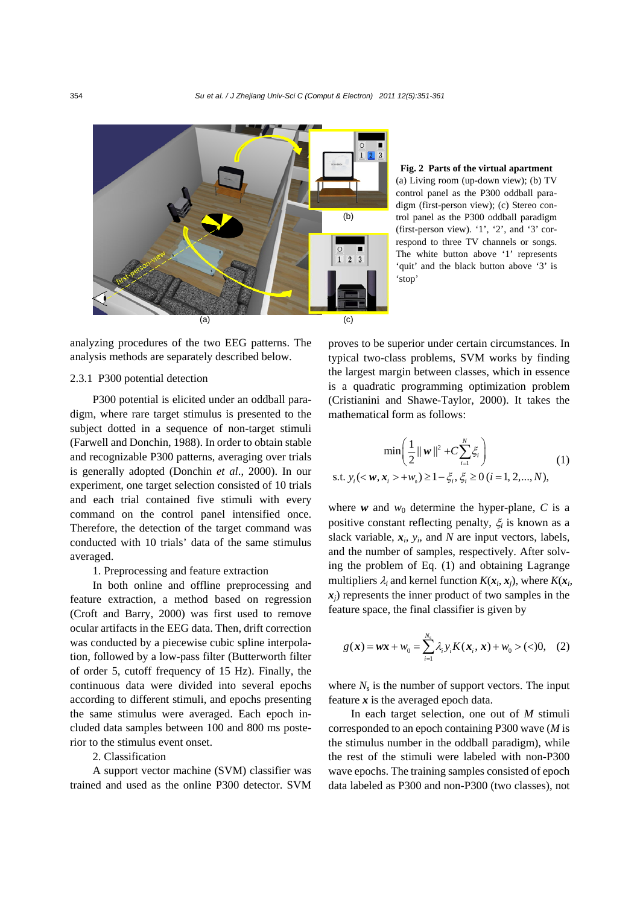

analyzing procedures of the two EEG patterns. The analysis methods are separately described below.

#### 2.3.1 P300 potential detection

P300 potential is elicited under an oddball paradigm, where rare target stimulus is presented to the subject dotted in a sequence of non-target stimuli (Farwell and Donchin, 1988). In order to obtain stable and recognizable P300 patterns, averaging over trials is generally adopted (Donchin *et al*., 2000). In our experiment, one target selection consisted of 10 trials and each trial contained five stimuli with every command on the control panel intensified once. Therefore, the detection of the target command was conducted with 10 trials' data of the same stimulus averaged.

## 1. Preprocessing and feature extraction

In both online and offline preprocessing and feature extraction, a method based on regression (Croft and Barry, 2000) was first used to remove ocular artifacts in the EEG data. Then, drift correction was conducted by a piecewise cubic spline interpolation, followed by a low-pass filter (Butterworth filter of order 5, cutoff frequency of 15 Hz). Finally, the continuous data were divided into several epochs according to different stimuli, and epochs presenting the same stimulus were averaged. Each epoch included data samples between 100 and 800 ms posterior to the stimulus event onset.

# 2. Classification

A support vector machine (SVM) classifier was trained and used as the online P300 detector. SVM

**Fig. 2 Parts of the virtual apartment**  (a) Living room (up-down view); (b) TV control panel as the P300 oddball paradigm (first-person view); (c) Stereo control panel as the P300 oddball paradigm (first-person view). '1', '2', and '3' correspond to three TV channels or songs. The white button above '1' represents 'quit' and the black button above '3' is 'stop'

proves to be superior under certain circumstances. In typical two-class problems, SVM works by finding the largest margin between classes, which in essence is a quadratic programming optimization problem (Cristianini and Shawe-Taylor, 2000). It takes the mathematical form as follows:

$$
\min\left(\frac{1}{2}||\mathbf{w}||^2 + C\sum_{i=1}^N \xi_i\right)
$$
  
s.t.  $y_i(<\mathbf{w}, \mathbf{x}_i> + w_0) \ge 1 - \xi_i, \xi_i \ge 0 \ (i = 1, 2, ..., N),$  (1)

where  $w$  and  $w_0$  determine the hyper-plane, C is a positive constant reflecting penalty, ξ*i* is known as a slack variable,  $x_i$ ,  $y_i$ , and *N* are input vectors, labels, and the number of samples, respectively. After solving the problem of Eq. (1) and obtaining Lagrange multipliers  $\lambda_i$  and kernel function  $K(x_i, x_i)$ , where  $K(x_i, x_i)$  $x_i$ ) represents the inner product of two samples in the feature space, the final classifier is given by

$$
g(\mathbf{x}) = \mathbf{w}\mathbf{x} + w_0 = \sum_{i=1}^{N_s} \lambda_i y_i K(\mathbf{x}_i, \mathbf{x}) + w_0 > (<0, \quad (2)
$$

where  $N_s$  is the number of support vectors. The input feature *x* is the averaged epoch data.

In each target selection, one out of *M* stimuli corresponded to an epoch containing P300 wave (*M* is the stimulus number in the oddball paradigm), while the rest of the stimuli were labeled with non-P300 wave epochs. The training samples consisted of epoch data labeled as P300 and non-P300 (two classes), not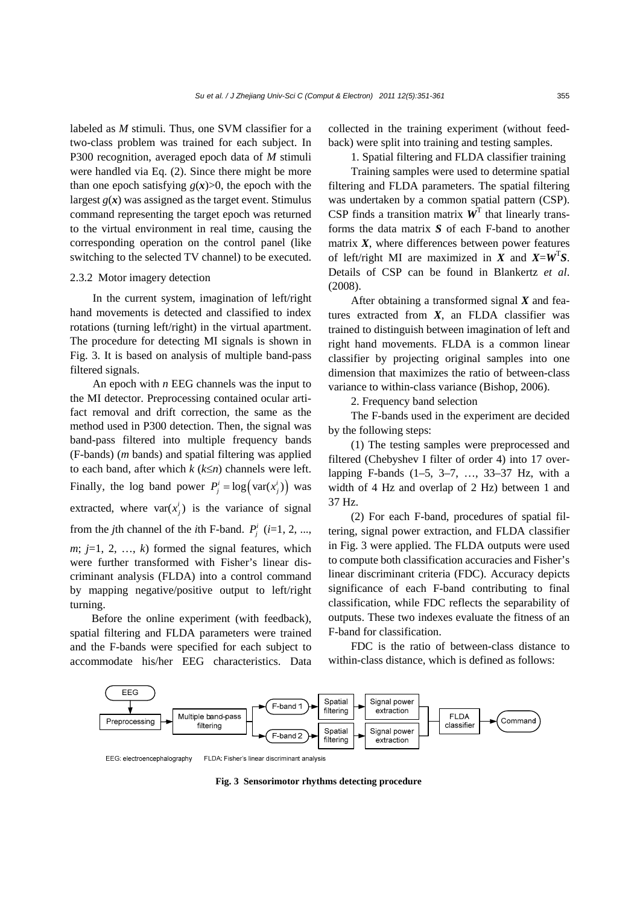labeled as *M* stimuli. Thus, one SVM classifier for a two-class problem was trained for each subject. In P300 recognition, averaged epoch data of *M* stimuli were handled via Eq. (2). Since there might be more than one epoch satisfying  $g(x) > 0$ , the epoch with the largest  $g(x)$  was assigned as the target event. Stimulus command representing the target epoch was returned to the virtual environment in real time, causing the corresponding operation on the control panel (like switching to the selected TV channel) to be executed.

# 2.3.2 Motor imagery detection

In the current system, imagination of left/right hand movements is detected and classified to index rotations (turning left/right) in the virtual apartment. The procedure for detecting MI signals is shown in Fig. 3. It is based on analysis of multiple band-pass filtered signals.

An epoch with *n* EEG channels was the input to the MI detector. Preprocessing contained ocular artifact removal and drift correction, the same as the method used in P300 detection. Then, the signal was band-pass filtered into multiple frequency bands (F-bands) (*m* bands) and spatial filtering was applied to each band, after which *k* (*k*≤*n*) channels were left. Finally, the log band power  $P_i^i = \log(\text{var}(x_i^i))$  was extracted, where  $var(x_j^i)$  is the variance of signal from the *j*th channel of the *i*th F-band.  $P_i^i$  (*i*=1, 2, ...,  $m: i=1, 2, \ldots, k$  formed the signal features, which were further transformed with Fisher's linear discriminant analysis (FLDA) into a control command by mapping negative/positive output to left/right turning.

Before the online experiment (with feedback), spatial filtering and FLDA parameters were trained and the F-bands were specified for each subject to accommodate his/her EEG characteristics. Data collected in the training experiment (without feedback) were split into training and testing samples.

1. Spatial filtering and FLDA classifier training

Training samples were used to determine spatial filtering and FLDA parameters. The spatial filtering was undertaken by a common spatial pattern (CSP). CSP finds a transition matrix  $W<sup>T</sup>$  that linearly transforms the data matrix *S* of each F-band to another matrix  $X$ , where differences between power features of left/right MI are maximized in *X* and  $X = W<sup>T</sup>S$ . Details of CSP can be found in Blankertz *et al*. (2008).

After obtaining a transformed signal *X* and features extracted from *X*, an FLDA classifier was trained to distinguish between imagination of left and right hand movements. FLDA is a common linear classifier by projecting original samples into one dimension that maximizes the ratio of between-class variance to within-class variance (Bishop, 2006).

2. Frequency band selection

The F-bands used in the experiment are decided by the following steps:

(1) The testing samples were preprocessed and filtered (Chebyshev I filter of order 4) into 17 overlapping F-bands (1–5, 3–7, …, 33–37 Hz, with a width of 4 Hz and overlap of 2 Hz) between 1 and 37 Hz.

(2) For each F-band, procedures of spatial filtering, signal power extraction, and FLDA classifier in Fig. 3 were applied. The FLDA outputs were used to compute both classification accuracies and Fisher's linear discriminant criteria (FDC). Accuracy depicts significance of each F-band contributing to final classification, while FDC reflects the separability of outputs. These two indexes evaluate the fitness of an F-band for classification.

FDC is the ratio of between-class distance to within-class distance, which is defined as follows:



FLDA: Fisher's linear discriminant analysis EEG: electroencephalography

**Fig. 3 Sensorimotor rhythms detecting procedure**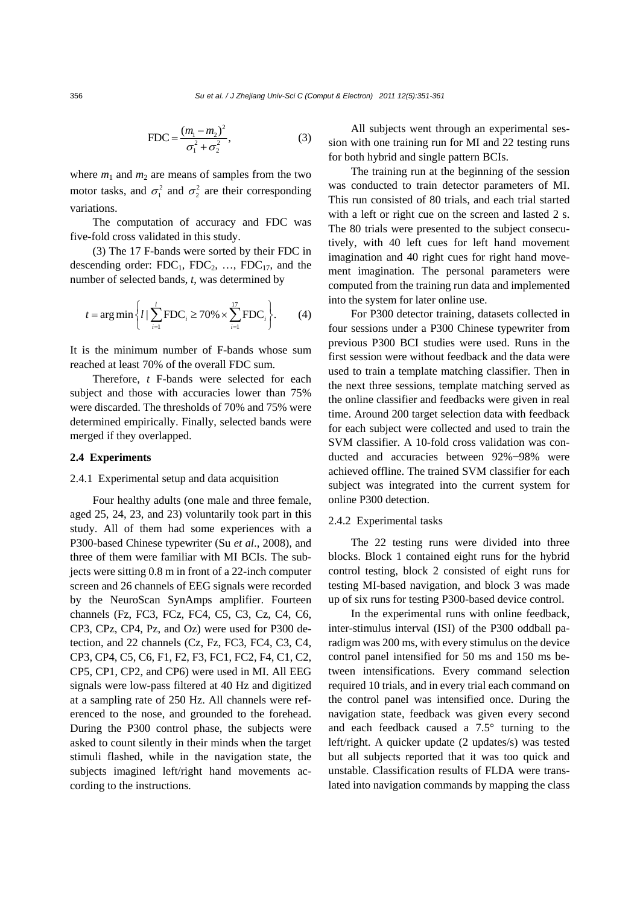$$
FDC = \frac{(m_1 - m_2)^2}{\sigma_1^2 + \sigma_2^2},
$$
 (3)

where  $m_1$  and  $m_2$  are means of samples from the two motor tasks, and  $\sigma_1^2$  and  $\sigma_2^2$  are their corresponding variations.

The computation of accuracy and FDC was five-fold cross validated in this study.

(3) The 17 F-bands were sorted by their FDC in descending order:  $FDC_1$ ,  $FDC_2$ , ...,  $FDC_{17}$ , and the number of selected bands, *t*, was determined by

$$
t = \arg \min \left\{ l \mid \sum_{i=1}^{l} \text{FDC}_{i} \ge 70\% \times \sum_{i=1}^{17} \text{FDC}_{i} \right\}.
$$
 (4)

It is the minimum number of F-bands whose sum reached at least 70% of the overall FDC sum.

Therefore, *t* F-bands were selected for each subject and those with accuracies lower than 75% were discarded. The thresholds of 70% and 75% were determined empirically. Finally, selected bands were merged if they overlapped.

### **2.4 Experiments**

## 2.4.1 Experimental setup and data acquisition

Four healthy adults (one male and three female, aged 25, 24, 23, and 23) voluntarily took part in this study. All of them had some experiences with a P300-based Chinese typewriter (Su *et al*., 2008), and three of them were familiar with MI BCIs. The subjects were sitting 0.8 m in front of a 22-inch computer screen and 26 channels of EEG signals were recorded by the NeuroScan SynAmps amplifier. Fourteen channels (Fz, FC3, FCz, FC4, C5, C3, Cz, C4, C6, CP3, CPz, CP4, Pz, and Oz) were used for P300 detection, and 22 channels (Cz, Fz, FC3, FC4, C3, C4, CP3, CP4, C5, C6, F1, F2, F3, FC1, FC2, F4, C1, C2, CP5, CP1, CP2, and CP6) were used in MI. All EEG signals were low-pass filtered at 40 Hz and digitized at a sampling rate of 250 Hz. All channels were referenced to the nose, and grounded to the forehead. During the P300 control phase, the subjects were asked to count silently in their minds when the target stimuli flashed, while in the navigation state, the subjects imagined left/right hand movements according to the instructions.

All subjects went through an experimental session with one training run for MI and 22 testing runs for both hybrid and single pattern BCIs.

The training run at the beginning of the session was conducted to train detector parameters of MI. This run consisted of 80 trials, and each trial started with a left or right cue on the screen and lasted 2 s. The 80 trials were presented to the subject consecutively, with 40 left cues for left hand movement imagination and 40 right cues for right hand movement imagination. The personal parameters were computed from the training run data and implemented into the system for later online use.

For P300 detector training, datasets collected in four sessions under a P300 Chinese typewriter from previous P300 BCI studies were used. Runs in the first session were without feedback and the data were used to train a template matching classifier. Then in the next three sessions, template matching served as the online classifier and feedbacks were given in real time. Around 200 target selection data with feedback for each subject were collected and used to train the SVM classifier. A 10-fold cross validation was conducted and accuracies between 92%−98% were achieved offline. The trained SVM classifier for each subject was integrated into the current system for online P300 detection.

#### 2.4.2 Experimental tasks

The 22 testing runs were divided into three blocks. Block 1 contained eight runs for the hybrid control testing, block 2 consisted of eight runs for testing MI-based navigation, and block 3 was made up of six runs for testing P300-based device control.

In the experimental runs with online feedback, inter-stimulus interval (ISI) of the P300 oddball paradigm was 200 ms, with every stimulus on the device control panel intensified for 50 ms and 150 ms between intensifications. Every command selection required 10 trials, and in every trial each command on the control panel was intensified once. During the navigation state, feedback was given every second and each feedback caused a 7.5° turning to the left/right. A quicker update (2 updates/s) was tested but all subjects reported that it was too quick and unstable. Classification results of FLDA were translated into navigation commands by mapping the class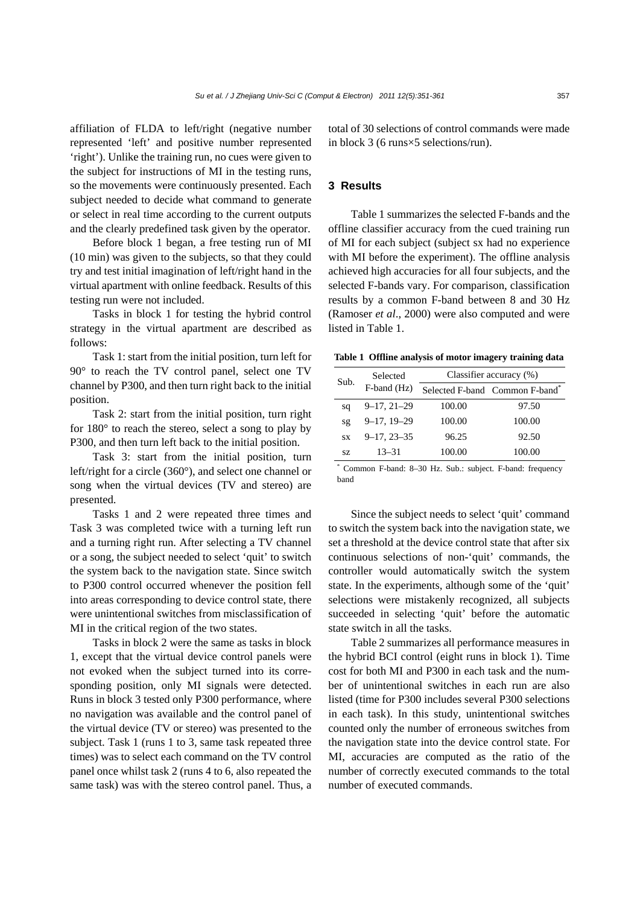affiliation of FLDA to left/right (negative number represented 'left' and positive number represented 'right'). Unlike the training run, no cues were given to the subject for instructions of MI in the testing runs, so the movements were continuously presented. Each subject needed to decide what command to generate or select in real time according to the current outputs and the clearly predefined task given by the operator.

Before block 1 began, a free testing run of MI (10 min) was given to the subjects, so that they could try and test initial imagination of left/right hand in the virtual apartment with online feedback. Results of this testing run were not included.

Tasks in block 1 for testing the hybrid control strategy in the virtual apartment are described as follows:

Task 1: start from the initial position, turn left for 90° to reach the TV control panel, select one TV channel by P300, and then turn right back to the initial position.

Task 2: start from the initial position, turn right for 180° to reach the stereo, select a song to play by P300, and then turn left back to the initial position.

Task 3: start from the initial position, turn left/right for a circle (360°), and select one channel or song when the virtual devices (TV and stereo) are presented.

Tasks 1 and 2 were repeated three times and Task 3 was completed twice with a turning left run and a turning right run. After selecting a TV channel or a song, the subject needed to select 'quit' to switch the system back to the navigation state. Since switch to P300 control occurred whenever the position fell into areas corresponding to device control state, there were unintentional switches from misclassification of MI in the critical region of the two states.

Tasks in block 2 were the same as tasks in block 1, except that the virtual device control panels were not evoked when the subject turned into its corresponding position, only MI signals were detected. Runs in block 3 tested only P300 performance, where no navigation was available and the control panel of the virtual device (TV or stereo) was presented to the subject. Task 1 (runs 1 to 3, same task repeated three times) was to select each command on the TV control panel once whilst task 2 (runs 4 to 6, also repeated the same task) was with the stereo control panel. Thus, a total of 30 selections of control commands were made in block 3 (6 runs×5 selections/run).

# **3 Results**

Table 1 summarizes the selected F-bands and the offline classifier accuracy from the cued training run of MI for each subject (subject sx had no experience with MI before the experiment). The offline analysis achieved high accuracies for all four subjects, and the selected F-bands vary. For comparison, classification results by a common F-band between 8 and 30 Hz (Ramoser *et al*., 2000) were also computed and were listed in Table 1.

**Table 1 Offline analysis of motor imagery training data** 

| Sub.      | Selected          | Classifier accuracy (%) |                                |  |  |  |  |
|-----------|-------------------|-------------------------|--------------------------------|--|--|--|--|
|           | F-band (Hz)       |                         | Selected F-band Common F-band* |  |  |  |  |
| sq        | $9 - 17, 21 - 29$ | 100.00                  | 97.50                          |  |  |  |  |
| sg        | $9-17, 19-29$     | 100.00                  | 100.00                         |  |  |  |  |
| <b>SX</b> | $9 - 17, 23 - 35$ | 96.25                   | 92.50                          |  |  |  |  |
| SZ.       | $13 - 31$         | 100.00                  | 100.00                         |  |  |  |  |

\* Common F-band: 8–30 Hz. Sub.: subject. F-band: frequency band

Since the subject needs to select 'quit' command to switch the system back into the navigation state, we set a threshold at the device control state that after six continuous selections of non-'quit' commands, the controller would automatically switch the system state. In the experiments, although some of the 'quit' selections were mistakenly recognized, all subjects succeeded in selecting 'quit' before the automatic state switch in all the tasks.

Table 2 summarizes all performance measures in the hybrid BCI control (eight runs in block 1). Time cost for both MI and P300 in each task and the number of unintentional switches in each run are also listed (time for P300 includes several P300 selections in each task). In this study, unintentional switches counted only the number of erroneous switches from the navigation state into the device control state. For MI, accuracies are computed as the ratio of the number of correctly executed commands to the total number of executed commands.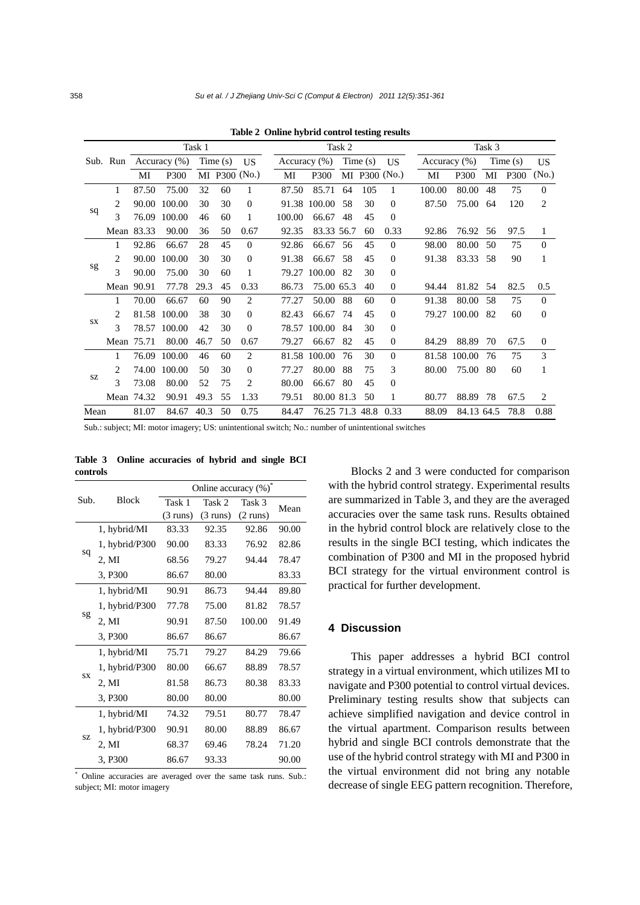|      |                             | Task 1       |        |         |               | Task 2       |        |                  |         |     | Task 3         |        |              |     |         |                   |
|------|-----------------------------|--------------|--------|---------|---------------|--------------|--------|------------------|---------|-----|----------------|--------|--------------|-----|---------|-------------------|
|      | Sub. Run                    | Accuracy (%) |        | Time(s) |               | <b>US</b>    |        | Accuracy $(\% )$ | Time(s) |     | <b>US</b>      |        | Accuracy (%) |     | Time(s) |                   |
|      |                             | MI           | P300   |         | MI P300 (No.) |              | MI     | P300             |         |     | MI P300 (No.)  | MI     | P300         | MI  | P300    | (N <sub>0</sub> ) |
| sq   | 1                           | 87.50        | 75.00  | 32      | 60            | 1            | 87.50  | 85.71            | 64      | 105 |                | 100.00 | 80.00        | 48  | 75      | $\Omega$          |
|      | 2                           | 90.00        | 100.00 | 30      | 30            | $\Omega$     |        | 91.38 100.00     | 58      | 30  | $\Omega$       | 87.50  | 75.00        | 64  | 120     | $\overline{c}$    |
|      | 3                           | 76.09        | 100.00 | 46      | 60            | 1            | 100.00 | 66.67            | 48      | 45  | $\Omega$       |        |              |     |         |                   |
|      | Mean                        | 83.33        | 90.00  | 36      | 50            | 0.67         | 92.35  | 83.33 56.7       |         | 60  | 0.33           | 92.86  | 76.92        | 56  | 97.5    | 1                 |
| sg   | 1                           | 92.86        | 66.67  | 28      | 45            | $\Omega$     | 92.86  | 66.67            | 56      | 45  | $\Omega$       | 98.00  | 80.00        | 50  | 75      | $\theta$          |
|      | 2                           | 90.00        | 100.00 | 30      | 30            | $\theta$     | 91.38  | 66.67            | 58      | 45  | $\Omega$       | 91.38  | 83.33        | 58  | 90      |                   |
|      | 3                           | 90.00        | 75.00  | 30      | 60            | 1            | 79.27  | 100.00           | 82      | 30  | $\Omega$       |        |              |     |         |                   |
|      | Mean 90.91                  |              | 77.78  | 29.3    | 45            | 0.33         | 86.73  | 75.00 65.3       |         | 40  | $\overline{0}$ | 94.44  | 81.82 54     |     | 82.5    | 0.5               |
|      | 1                           | 70.00        | 66.67  | 60      | 90            | 2            | 77.27  | 50.00            | 88      | 60  | $\Omega$       | 91.38  | 80.00        | .58 | 75      | $\theta$          |
| SX   | $\mathfrak{D}$              | 81.58        | 100.00 | 38      | 30            | $\Omega$     | 82.43  | 66.67            | 74      | 45  | $\Omega$       | 79.27  | 100.00       | 82  | 60      | $\Omega$          |
|      | 3                           | 78.57        | 100.00 | 42      | 30            | $\Omega$     | 78.57  | 100.00           | 84      | 30  | $\Omega$       |        |              |     |         |                   |
|      | Mean                        | 75.71        | 80.00  | 46.7    | 50            | 0.67         | 79.27  | 66.67            | 82      | 45  | $\overline{0}$ | 84.29  | 88.89        | 70  | 67.5    | $\theta$          |
| SZ   | 1                           | 76.09        | 100.00 | 46      | 60            | 2            |        | 81.58 100.00     | 76      | 30  | $\Omega$       |        | 81.58 100.00 | 76  | 75      | 3                 |
|      | $\mathcal{D}_{\mathcal{L}}$ | 74.00        | 100.00 | 50      | 30            | $\mathbf{0}$ | 77.27  | 80.00            | 88      | 75  | 3              | 80.00  | 75.00        | 80  | 60      |                   |
|      | 3                           | 73.08        | 80.00  | 52      | 75            | 2            | 80.00  | 66.67            | 80      | 45  | $\Omega$       |        |              |     |         |                   |
|      |                             | Mean 74.32   | 90.91  | 49.3    | 55            | 1.33         | 79.51  | 80.00 81.3       |         | 50  | 1              | 80.77  | 88.89        | 78  | 67.5    | 2                 |
| Mean |                             | 81.07        | 84.67  | 40.3    | 50            | 0.75         | 84.47  | 76.25 71.3 48.8  |         |     | 0.33           | 88.09  | 84.13 64.5   |     | 78.8    | 0.88              |

**Table 2 Online hybrid control testing results**

Sub.: subject; MI: motor imagery; US: unintentional switch; No.: number of unintentional switches

|           |                | Online accuracy (%)*       |                    |                    |       |  |  |  |  |
|-----------|----------------|----------------------------|--------------------|--------------------|-------|--|--|--|--|
| Sub.      | <b>Block</b>   | Task 1<br>Task 2<br>Task 3 |                    |                    | Mean  |  |  |  |  |
|           |                | $(3 \text{ runs})$         | $(3 \text{ runs})$ | $(2 \text{ runs})$ |       |  |  |  |  |
| sq        | 1, hybrid/MI   | 83.33                      | 92.35              | 92.86              | 90.00 |  |  |  |  |
|           | 1, hybrid/P300 | 90.00                      | 83.33              | 76.92              | 82.86 |  |  |  |  |
|           | 2, MI          | 68.56                      | 79.27              | 94.44              | 78.47 |  |  |  |  |
|           | 3, P300        | 86.67                      | 80.00              |                    | 83.33 |  |  |  |  |
| sg        | 1, hybrid/MI   | 90.91                      | 86.73              | 94.44              | 89.80 |  |  |  |  |
|           | 1, hybrid/P300 | 77.78                      | 75.00              | 81.82              | 78.57 |  |  |  |  |
|           | 2, MI          | 90.91                      | 87.50              | 100.00             | 91.49 |  |  |  |  |
|           | 3, P300        | 86.67                      | 86.67              |                    | 86.67 |  |  |  |  |
|           | 1, hybrid/MI   | 75.71                      | 79.27              | 84.29              | 79.66 |  |  |  |  |
|           | 1, hybrid/P300 | 80.00                      | 66.67              | 88.89              | 78.57 |  |  |  |  |
| <b>SX</b> | 2, MI          | 81.58                      | 86.73              | 80.38              | 83.33 |  |  |  |  |
|           | 3, P300        | 80.00                      | 80.00              |                    | 80.00 |  |  |  |  |
| SZ        | 1, hybrid/MI   | 74.32                      | 79.51              | 80.77              | 78.47 |  |  |  |  |
|           | 1, hybrid/P300 | 90.91                      | 80.00              | 88.89              | 86.67 |  |  |  |  |
|           | 2. MI          | 68.37                      | 69.46              | 78.24              | 71.20 |  |  |  |  |
|           | 3, P300        | 86.67                      | 93.33              |                    | 90.00 |  |  |  |  |

**Table 3 Online accuracies of hybrid and single BCI controls** 

\* Online accuracies are averaged over the same task runs. Sub.: subject; MI: motor imagery

Blocks 2 and 3 were conducted for comparison with the hybrid control strategy. Experimental results are summarized in Table 3, and they are the averaged accuracies over the same task runs. Results obtained in the hybrid control block are relatively close to the results in the single BCI testing, which indicates the combination of P300 and MI in the proposed hybrid BCI strategy for the virtual environment control is practical for further development.

# **4 Discussion**

This paper addresses a hybrid BCI control strategy in a virtual environment, which utilizes MI to navigate and P300 potential to control virtual devices. Preliminary testing results show that subjects can achieve simplified navigation and device control in the virtual apartment. Comparison results between hybrid and single BCI controls demonstrate that the use of the hybrid control strategy with MI and P300 in the virtual environment did not bring any notable decrease of single EEG pattern recognition. Therefore,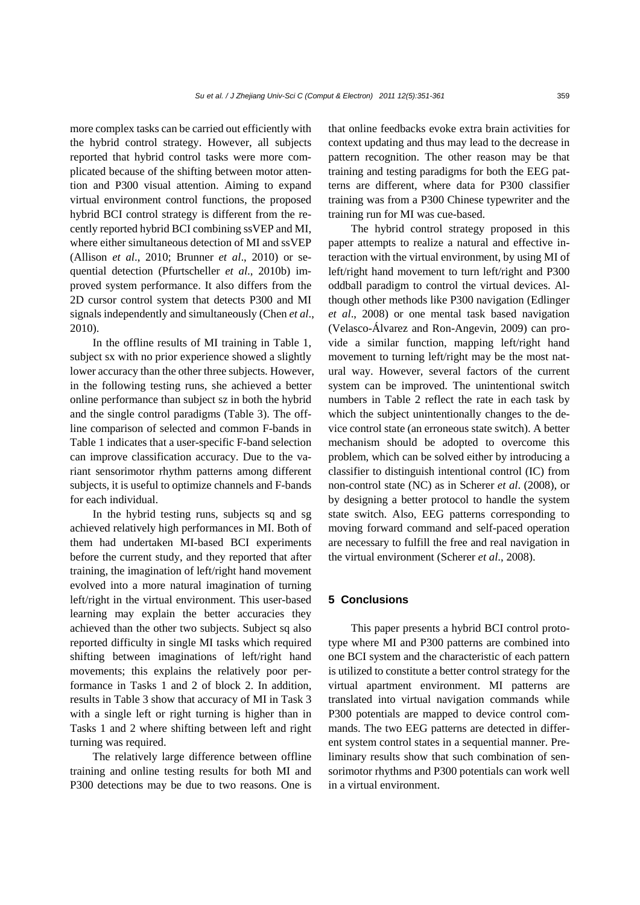more complex tasks can be carried out efficiently with the hybrid control strategy. However, all subjects reported that hybrid control tasks were more complicated because of the shifting between motor attention and P300 visual attention. Aiming to expand virtual environment control functions, the proposed hybrid BCI control strategy is different from the recently reported hybrid BCI combining ssVEP and MI, where either simultaneous detection of MI and ssVEP (Allison *et al*., 2010; Brunner *et al*., 2010) or sequential detection (Pfurtscheller *et al*., 2010b) improved system performance. It also differs from the 2D cursor control system that detects P300 and MI signals independently and simultaneously (Chen *et al*., 2010).

In the offline results of MI training in Table 1, subject sx with no prior experience showed a slightly lower accuracy than the other three subjects. However, in the following testing runs, she achieved a better online performance than subject sz in both the hybrid and the single control paradigms (Table 3). The offline comparison of selected and common F-bands in Table 1 indicates that a user-specific F-band selection can improve classification accuracy. Due to the variant sensorimotor rhythm patterns among different subjects, it is useful to optimize channels and F-bands for each individual.

In the hybrid testing runs, subjects sq and sg achieved relatively high performances in MI. Both of them had undertaken MI-based BCI experiments before the current study, and they reported that after training, the imagination of left/right hand movement evolved into a more natural imagination of turning left/right in the virtual environment. This user-based learning may explain the better accuracies they achieved than the other two subjects. Subject sq also reported difficulty in single MI tasks which required shifting between imaginations of left/right hand movements; this explains the relatively poor performance in Tasks 1 and 2 of block 2. In addition, results in Table 3 show that accuracy of MI in Task 3 with a single left or right turning is higher than in Tasks 1 and 2 where shifting between left and right turning was required.

The relatively large difference between offline training and online testing results for both MI and P300 detections may be due to two reasons. One is that online feedbacks evoke extra brain activities for context updating and thus may lead to the decrease in pattern recognition. The other reason may be that training and testing paradigms for both the EEG patterns are different, where data for P300 classifier training was from a P300 Chinese typewriter and the training run for MI was cue-based.

The hybrid control strategy proposed in this paper attempts to realize a natural and effective interaction with the virtual environment, by using MI of left/right hand movement to turn left/right and P300 oddball paradigm to control the virtual devices. Although other methods like P300 navigation (Edlinger *et al*., 2008) or one mental task based navigation (Velasco-Álvarez and Ron-Angevin, 2009) can provide a similar function, mapping left/right hand movement to turning left/right may be the most natural way. However, several factors of the current system can be improved. The unintentional switch numbers in Table 2 reflect the rate in each task by which the subject unintentionally changes to the device control state (an erroneous state switch). A better mechanism should be adopted to overcome this problem, which can be solved either by introducing a classifier to distinguish intentional control (IC) from non-control state (NC) as in Scherer *et al*. (2008), or by designing a better protocol to handle the system state switch. Also, EEG patterns corresponding to moving forward command and self-paced operation are necessary to fulfill the free and real navigation in the virtual environment (Scherer *et al*., 2008).

# **5 Conclusions**

This paper presents a hybrid BCI control prototype where MI and P300 patterns are combined into one BCI system and the characteristic of each pattern is utilized to constitute a better control strategy for the virtual apartment environment. MI patterns are translated into virtual navigation commands while P300 potentials are mapped to device control commands. The two EEG patterns are detected in different system control states in a sequential manner. Preliminary results show that such combination of sensorimotor rhythms and P300 potentials can work well in a virtual environment.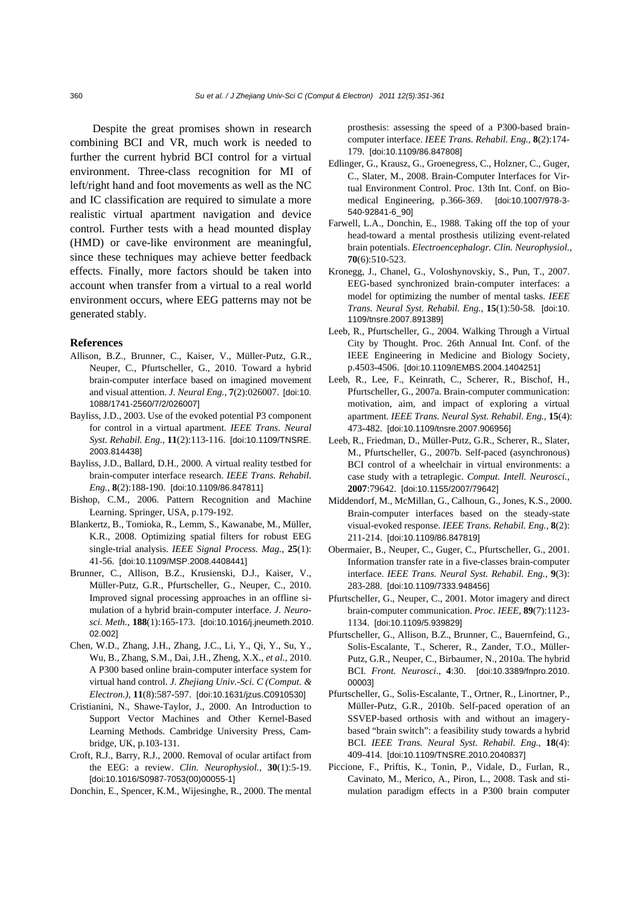Despite the great promises shown in research combining BCI and VR, much work is needed to further the current hybrid BCI control for a virtual environment. Three-class recognition for MI of left/right hand and foot movements as well as the NC and IC classification are required to simulate a more realistic virtual apartment navigation and device control. Further tests with a head mounted display (HMD) or cave-like environment are meaningful, since these techniques may achieve better feedback effects. Finally, more factors should be taken into account when transfer from a virtual to a real world environment occurs, where EEG patterns may not be generated stably.

#### **References**

- Allison, B.Z., Brunner, C., Kaiser, V., Müller-Putz, G.R., Neuper, C., Pfurtscheller, G., 2010. Toward a hybrid brain-computer interface based on imagined movement and visual attention. *J. Neural Eng.*, **7**(2):026007. [doi:10. 1088/1741-2560/7/2/026007]
- Bayliss, J.D., 2003. Use of the evoked potential P3 component for control in a virtual apartment. *IEEE Trans. Neural Syst. Rehabil. Eng.*, **11**(2):113-116. [doi:10.1109/TNSRE. 2003.814438]
- Bayliss, J.D., Ballard, D.H., 2000. A virtual reality testbed for brain-computer interface research. *IEEE Trans. Rehabil. Eng.*, **8**(2):188-190. [doi:10.1109/86.847811]
- Bishop, C.M., 2006. Pattern Recognition and Machine Learning. Springer, USA, p.179-192.
- Blankertz, B., Tomioka, R., Lemm, S., Kawanabe, M., Müller, K.R., 2008. Optimizing spatial filters for robust EEG single-trial analysis. *IEEE Signal Process. Mag.*, **25**(1): 41-56. [doi:10.1109/MSP.2008.4408441]
- Brunner, C., Allison, B.Z., Krusienski, D.J., Kaiser, V., Müller-Putz, G.R., Pfurtscheller, G., Neuper, C., 2010. Improved signal processing approaches in an offline simulation of a hybrid brain-computer interface. *J. Neurosci. Meth.*, **188**(1):165-173. [doi:10.1016/j.jneumeth.2010. 02.002]
- Chen, W.D., Zhang, J.H., Zhang, J.C., Li, Y., Qi, Y., Su, Y., Wu, B., Zhang, S.M., Dai, J.H., Zheng, X.X., *et al*., 2010. A P300 based online brain-computer interface system for virtual hand control. *J. Zhejiang Univ.-Sci. C (Comput. & Electron.)*, **11**(8):587-597. [doi:10.1631/jzus.C0910530]
- Cristianini, N., Shawe-Taylor, J., 2000. An Introduction to Support Vector Machines and Other Kernel-Based Learning Methods. Cambridge University Press, Cambridge, UK, p.103-131.
- Croft, R.J., Barry, R.J., 2000. Removal of ocular artifact from the EEG: a review. *Clin. Neurophysiol.*, **30**(1):5-19. [doi:10.1016/S0987-7053(00)00055-1]

Donchin, E., Spencer, K.M., Wijesinghe, R., 2000. The mental

prosthesis: assessing the speed of a P300-based braincomputer interface. *IEEE Trans. Rehabil. Eng.*, **8**(2):174- 179. [doi:10.1109/86.847808]

- Edlinger, G., Krausz, G., Groenegress, C., Holzner, C., Guger, C., Slater, M., 2008. Brain-Computer Interfaces for Virtual Environment Control. Proc. 13th Int. Conf. on Biomedical Engineering, p.366-369. [doi:10.1007/978-3- 540-92841-6\_90]
- Farwell, L.A., Donchin, E., 1988. Taking off the top of your head-toward a mental prosthesis utilizing event-related brain potentials. *Electroencephalogr. Clin. Neurophysiol.*, **70**(6):510-523.
- Kronegg, J., Chanel, G., Voloshynovskiy, S., Pun, T., 2007. EEG-based synchronized brain-computer interfaces: a model for optimizing the number of mental tasks. *IEEE Trans. Neural Syst. Rehabil. Eng.*, **15**(1):50-58. [doi:10. 1109/tnsre.2007.891389]
- Leeb, R., Pfurtscheller, G., 2004. Walking Through a Virtual City by Thought. Proc. 26th Annual Int. Conf. of the IEEE Engineering in Medicine and Biology Society, p.4503-4506. [doi:10.1109/IEMBS.2004.1404251]
- Leeb, R., Lee, F., Keinrath, C., Scherer, R., Bischof, H., Pfurtscheller, G., 2007a. Brain-computer communication: motivation, aim, and impact of exploring a virtual apartment. *IEEE Trans. Neural Syst. Rehabil. Eng.*, **15**(4): 473-482. [doi:10.1109/tnsre.2007.906956]
- Leeb, R., Friedman, D., Müller-Putz, G.R., Scherer, R., Slater, M., Pfurtscheller, G., 2007b. Self-paced (asynchronous) BCI control of a wheelchair in virtual environments: a case study with a tetraplegic. *Comput. Intell. Neurosci.*, **2007**:79642. [doi:10.1155/2007/79642]
- Middendorf, M., McMillan, G., Calhoun, G., Jones, K.S., 2000. Brain-computer interfaces based on the steady-state visual-evoked response. *IEEE Trans. Rehabil. Eng.*, **8**(2): 211-214. [doi:10.1109/86.847819]
- Obermaier, B., Neuper, C., Guger, C., Pfurtscheller, G., 2001. Information transfer rate in a five-classes brain-computer interface. *IEEE Trans. Neural Syst. Rehabil. Eng.*, **9**(3): 283-288. [doi:10.1109/7333.948456]
- Pfurtscheller, G., Neuper, C., 2001. Motor imagery and direct brain-computer communication. *Proc. IEEE*, **89**(7):1123- 1134. [doi:10.1109/5.939829]
- Pfurtscheller, G., Allison, B.Z., Brunner, C., Bauernfeind, G., Solis-Escalante, T., Scherer, R., Zander, T.O., Müller-Putz, G.R., Neuper, C., Birbaumer, N., 2010a. The hybrid BCI*. Front. Neurosci*., **4**:30. [doi:10.3389/fnpro.2010. 00003]
- Pfurtscheller, G., Solis-Escalante, T., Ortner, R., Linortner, P., Müller-Putz, G.R., 2010b. Self-paced operation of an SSVEP-based orthosis with and without an imagerybased "brain switch": a feasibility study towards a hybrid BCI. *IEEE Trans. Neural Syst. Rehabil. Eng.*, **18**(4): 409-414. [doi:10.1109/TNSRE.2010.2040837]
- Piccione, F., Priftis, K., Tonin, P., Vidale, D., Furlan, R., Cavinato, M., Merico, A., Piron, L., 2008. Task and stimulation paradigm effects in a P300 brain computer